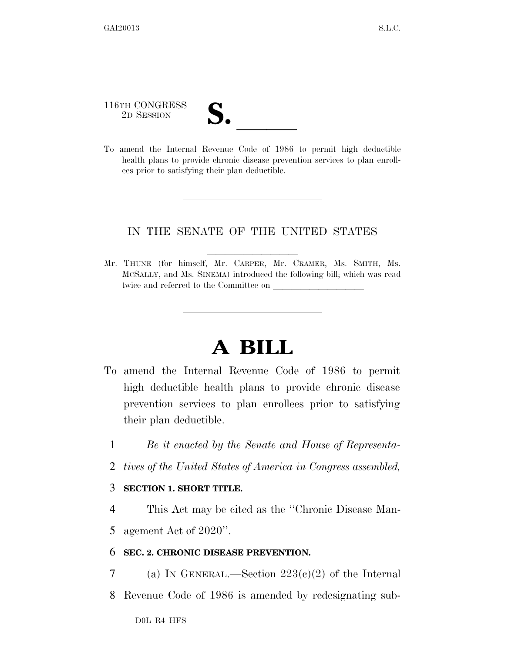116TH CONGRESS

116TH CONGRESS<br>
2D SESSION<br>
To amend the Internal Revenue Code of 1986 to permit high deductible health plans to provide chronic disease prevention services to plan enrollees prior to satisfying their plan deductible.

## IN THE SENATE OF THE UNITED STATES

Mr. THUNE (for himself, Mr. CARPER, Mr. CRAMER, Ms. SMITH, Ms. MCSALLY, and Ms. SINEMA) introduced the following bill; which was read twice and referred to the Committee on

## **A BILL**

- To amend the Internal Revenue Code of 1986 to permit high deductible health plans to provide chronic disease prevention services to plan enrollees prior to satisfying their plan deductible.
	- 1 *Be it enacted by the Senate and House of Representa-*
	- 2 *tives of the United States of America in Congress assembled,*

## 3 **SECTION 1. SHORT TITLE.**

4 This Act may be cited as the ''Chronic Disease Man-

5 agement Act of 2020''.

## 6 **SEC. 2. CHRONIC DISEASE PREVENTION.**

- 7 (a) IN GENERAL.—Section  $223(e)(2)$  of the Internal
- 8 Revenue Code of 1986 is amended by redesignating sub-